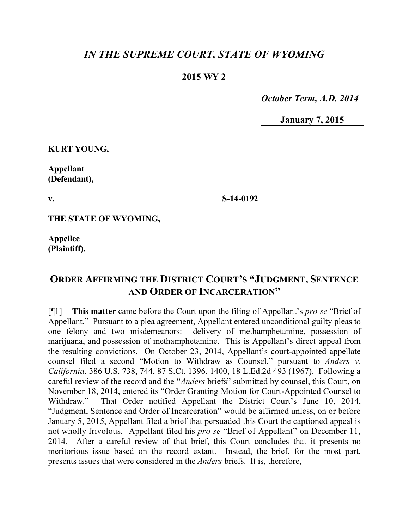## *IN THE SUPREME COURT, STATE OF WYOMING*

## **2015 WY 2**

 *October Term, A.D. 2014*

**January 7, 2015**

**KURT YOUNG,**

**Appellant (Defendant),**

**v.**

**S-14-0192**

**THE STATE OF WYOMING,**

**Appellee (Plaintiff).**

## **ORDER AFFIRMING THE DISTRICT COURT'S "JUDGMENT, SENTENCE AND ORDER OF INCARCERATION"**

[¶1] **This matter** came before the Court upon the filing of Appellant's *pro se* "Brief of Appellant." Pursuant to a plea agreement, Appellant entered unconditional guilty pleas to one felony and two misdemeanors: delivery of methamphetamine, possession of marijuana, and possession of methamphetamine. This is Appellant's direct appeal from the resulting convictions. On October 23, 2014, Appellant's court-appointed appellate counsel filed a second "Motion to Withdraw as Counsel," pursuant to *Anders v. California*, 386 U.S. 738, 744, 87 S.Ct. 1396, 1400, 18 L.Ed.2d 493 (1967). Following a careful review of the record and the "*Anders* briefs" submitted by counsel, this Court, on November 18, 2014, entered its "Order Granting Motion for Court-Appointed Counsel to Withdraw." That Order notified Appellant the District Court's June 10, 2014, "Judgment, Sentence and Order of Incarceration" would be affirmed unless, on or before January 5, 2015, Appellant filed a brief that persuaded this Court the captioned appeal is not wholly frivolous. Appellant filed his *pro se* "Brief of Appellant" on December 11, 2014. After a careful review of that brief, this Court concludes that it presents no meritorious issue based on the record extant. Instead, the brief, for the most part, presents issues that were considered in the *Anders* briefs. It is, therefore,